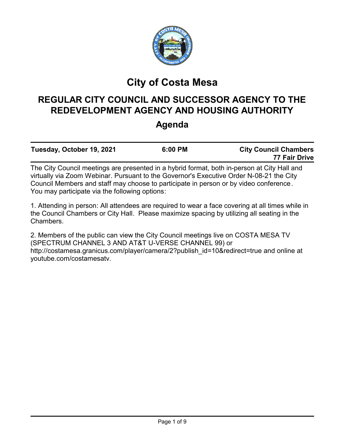

# **City of Costa Mesa**

# **REGULAR CITY COUNCIL AND SUCCESSOR AGENCY TO THE REDEVELOPMENT AGENCY AND HOUSING AUTHORITY**

## **Agenda**

| Tuesday, October 19, 2021                                                                   | 6:00 PM | <b>City Council Chambers</b><br>77 Fair Drive |
|---------------------------------------------------------------------------------------------|---------|-----------------------------------------------|
| The City Council meetings are presented in a hybrid format, both in-person at City Hall and |         |                                               |

virtually via Zoom Webinar. Pursuant to the Governor's Executive Order N-08-21 the City Council Members and staff may choose to participate in person or by video conference. You may participate via the following options:

1. Attending in person: All attendees are required to wear a face covering at all times while in the Council Chambers or City Hall. Please maximize spacing by utilizing all seating in the Chambers.

2. Members of the public can view the City Council meetings live on COSTA MESA TV (SPECTRUM CHANNEL 3 AND AT&T U-VERSE CHANNEL 99) or http://costamesa.granicus.com/player/camera/2?publish\_id=10&redirect=true and online at youtube.com/costamesatv.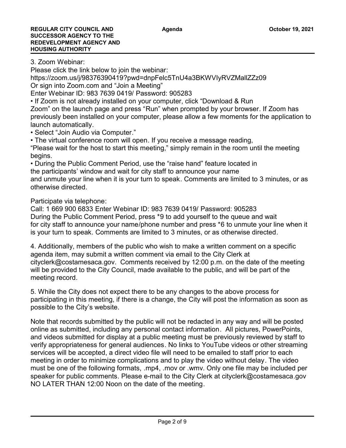3. Zoom Webinar:

Please click the link below to join the webinar:

https://zoom.us/j/98376390419?pwd=dnpFelc5TnU4a3BKWVIyRVZMallZZz09

Or sign into Zoom.com and "Join a Meeting"

Enter Webinar ID: 983 7639 0419/ Password: 905283

• If Zoom is not already installed on your computer, click "Download & Run

Zoom" on the launch page and press "Run" when prompted by your browser. If Zoom has previously been installed on your computer, please allow a few moments for the application to launch automatically.

• Select "Join Audio via Computer."

• The virtual conference room will open. If you receive a message reading, "Please wait for the host to start this meeting," simply remain in the room until the meeting begins.

• During the Public Comment Period, use the "raise hand" feature located in the participants' window and wait for city staff to announce your name

and unmute your line when it is your turn to speak. Comments are limited to 3 minutes, or as otherwise directed.

Participate via telephone:

Call: 1 669 900 6833 Enter Webinar ID: 983 7639 0419/ Password: 905283

During the Public Comment Period, press \*9 to add yourself to the queue and wait for city staff to announce your name/phone number and press \*6 to unmute your line when it is your turn to speak. Comments are limited to 3 minutes, or as otherwise directed.

4. Additionally, members of the public who wish to make a written comment on a specific agenda item, may submit a written comment via email to the City Clerk at cityclerk@costamesaca.gov. Comments received by 12:00 p.m. on the date of the meeting will be provided to the City Council, made available to the public, and will be part of the meeting record.

5. While the City does not expect there to be any changes to the above process for participating in this meeting, if there is a change, the City will post the information as soon as possible to the City's website.

Note that records submitted by the public will not be redacted in any way and will be posted online as submitted, including any personal contact information. All pictures, PowerPoints, and videos submitted for display at a public meeting must be previously reviewed by staff to verify appropriateness for general audiences. No links to YouTube videos or other streaming services will be accepted, a direct video file will need to be emailed to staff prior to each meeting in order to minimize complications and to play the video without delay. The video must be one of the following formats, .mp4, .mov or .wmv. Only one file may be included per speaker for public comments. Please e-mail to the City Clerk at cityclerk@costamesaca.gov NO LATER THAN 12:00 Noon on the date of the meeting.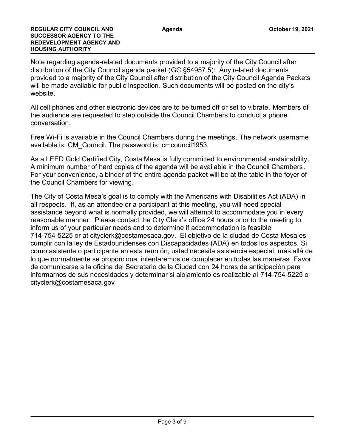Note regarding agenda-related documents provided to a majority of the City Council after distribution of the City Council agenda packet (GC §54957.5): Any related documents provided to a majority of the City Council after distribution of the City Council Agenda Packets will be made available for public inspection. Such documents will be posted on the city's website.

All cell phones and other electronic devices are to be turned off or set to vibrate. Members of the audience are requested to step outside the Council Chambers to conduct a phone conversation.

Free Wi-Fi is available in the Council Chambers during the meetings. The network username available is: CM\_Council. The password is: cmcouncil1953.

As a LEED Gold Certified City, Costa Mesa is fully committed to environmental sustainability. A minimum number of hard copies of the agenda will be available in the Council Chambers. For your convenience, a binder of the entire agenda packet will be at the table in the foyer of the Council Chambers for viewing.

The City of Costa Mesa's goal is to comply with the Americans with Disabilities Act (ADA) in all respects. If, as an attendee or a participant at this meeting, you will need special assistance beyond what is normally provided, we will attempt to accommodate you in every reasonable manner. Please contact the City Clerk's office 24 hours prior to the meeting to inform us of your particular needs and to determine if accommodation is feasible 714-754-5225 or at cityclerk@costamesaca.gov. El objetivo de la ciudad de Costa Mesa es cumplir con la ley de Estadounidenses con Discapacidades (ADA) en todos los aspectos. Si como asistente o participante en esta reunión, usted necesita asistencia especial, más allá de lo que normalmente se proporciona, intentaremos de complacer en todas las maneras. Favor de comunicarse a la oficina del Secretario de la Ciudad con 24 horas de anticipación para informarnos de sus necesidades y determinar si alojamiento es realizable al 714-754-5225 o cityclerk@costamesaca.gov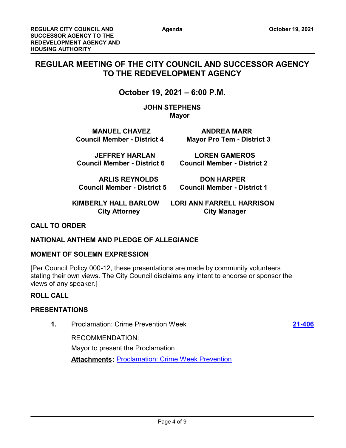Page 4 of 9

## **REGULAR MEETING OF THE CITY COUNCIL AND SUCCESSOR AGENCY TO THE REDEVELOPMENT AGENCY**

## **October 19, 2021 – 6:00 P.M.**

**JOHN STEPHENS Mayor** 

**MANUEL CHAVEZ ANDREA MARR Council Member - District 4 Mayor Pro Tem - District 3**

 **JEFFREY HARLAN LOREN GAMEROS**

**ARLIS REYNOLDS DON HARPER**

**Council Member - District 6 Council Member - District 2**

 **Council Member - District 5 Council Member - District 1**

 **KIMBERLY HALL BARLOW LORI ANN FARRELL HARRISON City Attorney City Manager** 

## **CALL TO ORDER**

## **NATIONAL ANTHEM AND PLEDGE OF ALLEGIANCE**

#### **MOMENT OF SOLEMN EXPRESSION**

[Per Council Policy 000-12, these presentations are made by community volunteers stating their own views. The City Council disclaims any intent to endorse or sponsor the views of any speaker.]

#### **ROLL CALL**

## **PRESENTATIONS**

**1.** Proclamation: Crime Prevention Week **[21-406](http://costamesa.legistar.com/gateway.aspx?m=l&id=/matter.aspx?key=1509)**

RECOMMENDATION: Mayor to present the Proclamation. **Attachments: [Proclamation: Crime Week Prevention](http://costamesa.legistar.com/gateway.aspx?M=F&ID=11e08ff7-47ad-4663-8b0f-70c4d90f748b.docx)**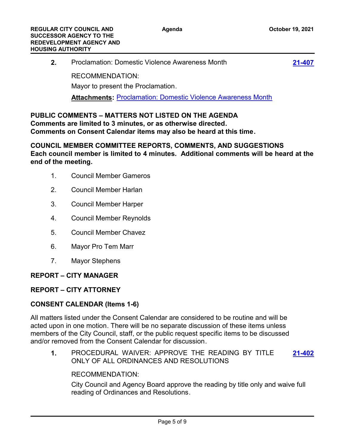| $2_{-}$ | <b>Proclamation: Domestic Violence Awareness Month</b>              | 21-407 |
|---------|---------------------------------------------------------------------|--------|
|         | RECOMMENDATION:                                                     |        |
|         | Mayor to present the Proclamation.                                  |        |
|         | <b>Attachments: Proclamation: Domestic Violence Awareness Month</b> |        |
|         |                                                                     |        |

## **PUBLIC COMMENTS – MATTERS NOT LISTED ON THE AGENDA Comments are limited to 3 minutes, or as otherwise directed. Comments on Consent Calendar items may also be heard at this time.**

**COUNCIL MEMBER COMMITTEE REPORTS, COMMENTS, AND SUGGESTIONS Each council member is limited to 4 minutes. Additional comments will be heard at the end of the meeting.**

- 1. Council Member Gameros
- 2. Council Member Harlan
- 3. Council Member Harper
- 4. Council Member Reynolds
- 5. Council Member Chavez
- 6. Mayor Pro Tem Marr
- 7. Mayor Stephens

## **REPORT – CITY MANAGER**

## **REPORT – CITY ATTORNEY**

## **CONSENT CALENDAR (Items 1-6)**

All matters listed under the Consent Calendar are considered to be routine and will be acted upon in one motion. There will be no separate discussion of these items unless members of the City Council, staff, or the public request specific items to be discussed and/or removed from the Consent Calendar for discussion.

**1.** PROCEDURAL WAIVER: APPROVE THE READING BY TITLE ONLY OF ALL ORDINANCES AND RESOLUTIONS **[21-402](http://costamesa.legistar.com/gateway.aspx?m=l&id=/matter.aspx?key=1505)**

## RECOMMENDATION:

City Council and Agency Board approve the reading by title only and waive full reading of Ordinances and Resolutions.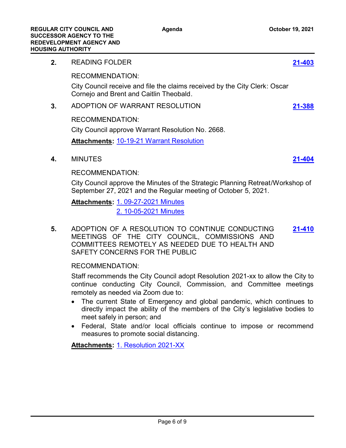## **2.** READING FOLDER **[21-403](http://costamesa.legistar.com/gateway.aspx?m=l&id=/matter.aspx?key=1506)** RECOMMENDATION: City Council receive and file the claims received by the City Clerk: Oscar Cornejo and Brent and Caitlin Theobald. **3.** ADOPTION OF WARRANT RESOLUTION **[21-388](http://costamesa.legistar.com/gateway.aspx?m=l&id=/matter.aspx?key=1491)** RECOMMENDATION: City Council approve Warrant Resolution No. 2668. **Attachments:** [10-19-21 Warrant Resolution](http://costamesa.legistar.com/gateway.aspx?M=F&ID=3b941223-77f8-4a10-bead-29de300da6c8.pdf) **4.** MINUTES **[21-404](http://costamesa.legistar.com/gateway.aspx?m=l&id=/matter.aspx?key=1507)** RECOMMENDATION: City Council approve the Minutes of the Strategic Planning Retreat/Workshop of September 27, 2021 and the Regular meeting of October 5, 2021. [1. 09-27-2021 Minutes](http://costamesa.legistar.com/gateway.aspx?M=F&ID=44d16eb7-4d61-4ccd-84ec-ea8ce9185e3a.rtf) **Attachments:** [2. 10-05-2021 Minutes](http://costamesa.legistar.com/gateway.aspx?M=F&ID=37e682f6-a673-44a7-ba7d-cf05dd7611ce.rtf) **5.** ADOPTION OF A RESOLUTION TO CONTINUE CONDUCTING MEETINGS OF THE CITY COUNCIL, COMMISSIONS AND COMMITTEES REMOTELY AS NEEDED DUE TO HEALTH AND **[21-410](http://costamesa.legistar.com/gateway.aspx?m=l&id=/matter.aspx?key=1513)**

## RECOMMENDATION:

Staff recommends the City Council adopt Resolution 2021-xx to allow the City to continue conducting City Council, Commission, and Committee meetings remotely as needed via Zoom due to:

- The current State of Emergency and global pandemic, which continues to directly impact the ability of the members of the City's legislative bodies to meet safely in person; and
- · Federal, State and/or local officials continue to impose or recommend measures to promote social distancing.

**Attachments:** [1. Resolution 2021-XX](http://costamesa.legistar.com/gateway.aspx?M=F&ID=b5e37b35-f0ec-4651-a1de-d00685e950d6.docx)

SAFETY CONCERNS FOR THE PUBLIC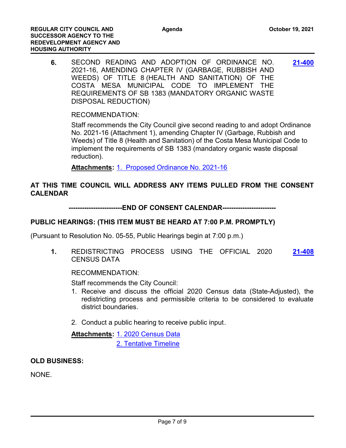**6.** SECOND READING AND ADOPTION OF ORDINANCE NO. 2021-16, AMENDING CHAPTER IV (GARBAGE, RUBBISH AND WEEDS) OF TITLE 8 (HEALTH AND SANITATION) OF THE COSTA MESA MUNICIPAL CODE TO IMPLEMENT THE REQUIREMENTS OF SB 1383 (MANDATORY ORGANIC WASTE DISPOSAL REDUCTION) **[21-400](http://costamesa.legistar.com/gateway.aspx?m=l&id=/matter.aspx?key=1503)**

RECOMMENDATION:

Staff recommends the City Council give second reading to and adopt Ordinance No. 2021-16 (Attachment 1), amending Chapter IV (Garbage, Rubbish and Weeds) of Title 8 (Health and Sanitation) of the Costa Mesa Municipal Code to implement the requirements of SB 1383 (mandatory organic waste disposal reduction).

**Attachments:** [1. Proposed Ordinance No. 2021-16](http://costamesa.legistar.com/gateway.aspx?M=F&ID=143c23d5-85c3-43a3-9717-ead67ec06cf8.docx)

## **AT THIS TIME COUNCIL WILL ADDRESS ANY ITEMS PULLED FROM THE CONSENT CALENDAR**

**------------------------END OF CONSENT CALENDAR------------------------**

## **PUBLIC HEARINGS: (THIS ITEM MUST BE HEARD AT 7:00 P.M. PROMPTLY)**

(Pursuant to Resolution No. 05-55, Public Hearings begin at 7:00 p.m.)

**1.** REDISTRICTING PROCESS USING THE OFFICIAL 2020 CENSUS DATA **[21-408](http://costamesa.legistar.com/gateway.aspx?m=l&id=/matter.aspx?key=1511)**

RECOMMENDATION:

Staff recommends the City Council:

- 1. Receive and discuss the official 2020 Census data (State-Adjusted), the redistricting process and permissible criteria to be considered to evaluate district boundaries.
- 2. Conduct a public hearing to receive public input.

Attachments: [1. 2020 Census Data](http://costamesa.legistar.com/gateway.aspx?M=F&ID=e9512a9d-d866-4044-a040-612506818abf.pdf) [2. Tentative Timeline](http://costamesa.legistar.com/gateway.aspx?M=F&ID=cfce8499-1fd1-48c9-b6e2-a2833a693583.docx)

**OLD BUSINESS:**

NONE.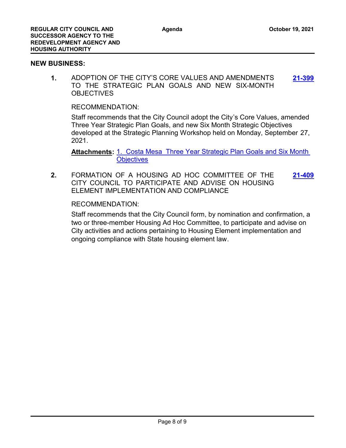#### **NEW BUSINESS:**

**1.** ADOPTION OF THE CITY'S CORE VALUES AND AMENDMENTS TO THE STRATEGIC PLAN GOALS AND NEW SIX-MONTH **OBJECTIVES [21-399](http://costamesa.legistar.com/gateway.aspx?m=l&id=/matter.aspx?key=1502)**

RECOMMENDATION:

Staff recommends that the City Council adopt the City's Core Values, amended Three Year Strategic Plan Goals, and new Six Month Strategic Objectives developed at the Strategic Planning Workshop held on Monday, September 27, 2021.

Attachments: 1. Costa Mesa Three Year Strategic Plan Goals and Six Month **Objectives** 

**2.** FORMATION OF A HOUSING AD HOC COMMITTEE OF THE CITY COUNCIL TO PARTICIPATE AND ADVISE ON HOUSING ELEMENT IMPLEMENTATION AND COMPLIANCE **[21-409](http://costamesa.legistar.com/gateway.aspx?m=l&id=/matter.aspx?key=1512)**

#### RECOMMENDATION:

Staff recommends that the City Council form, by nomination and confirmation, a two or three-member Housing Ad Hoc Committee, to participate and advise on City activities and actions pertaining to Housing Element implementation and ongoing compliance with State housing element law.